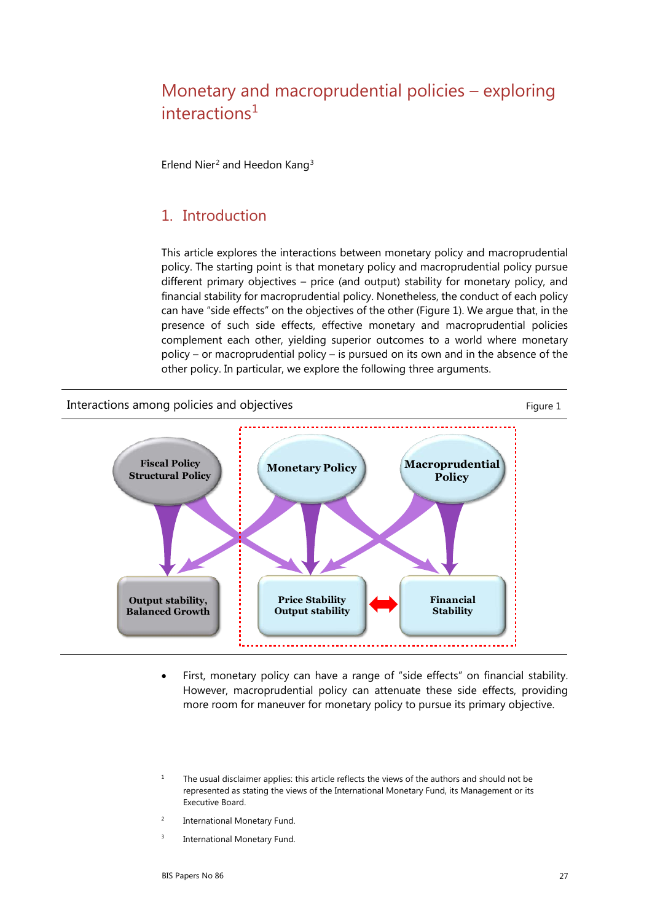# Monetary and macroprudential policies – exploring  $interactions<sup>1</sup>$  $interactions<sup>1</sup>$  $interactions<sup>1</sup>$

Erlend Nier<sup>[2](#page-0-1)</sup> and Heedon Kang<sup>[3](#page-0-2)</sup>

#### 1. Introduction

This article explores the interactions between monetary policy and macroprudential policy. The starting point is that monetary policy and macroprudential policy pursue different primary objectives – price (and output) stability for monetary policy, and financial stability for macroprudential policy. Nonetheless, the conduct of each policy can have "side effects" on the objectives of the other (Figure 1). We argue that, in the presence of such side effects, effective monetary and macroprudential policies complement each other, yielding superior outcomes to a world where monetary policy – or macroprudential policy – is pursued on its own and in the absence of the other policy. In particular, we explore the following three arguments.

Interactions among policies and objectives Figure 1



- First, monetary policy can have a range of "side effects" on financial stability. However, macroprudential policy can attenuate these side effects, providing more room for maneuver for monetary policy to pursue its primary objective.
- <span id="page-0-0"></span><sup>1</sup> The usual disclaimer applies: this article reflects the views of the authors and should not be represented as stating the views of the International Monetary Fund, its Management or its Executive Board.
- <span id="page-0-2"></span><span id="page-0-1"></span><sup>2</sup> International Monetary Fund.
- <sup>3</sup> International Monetary Fund.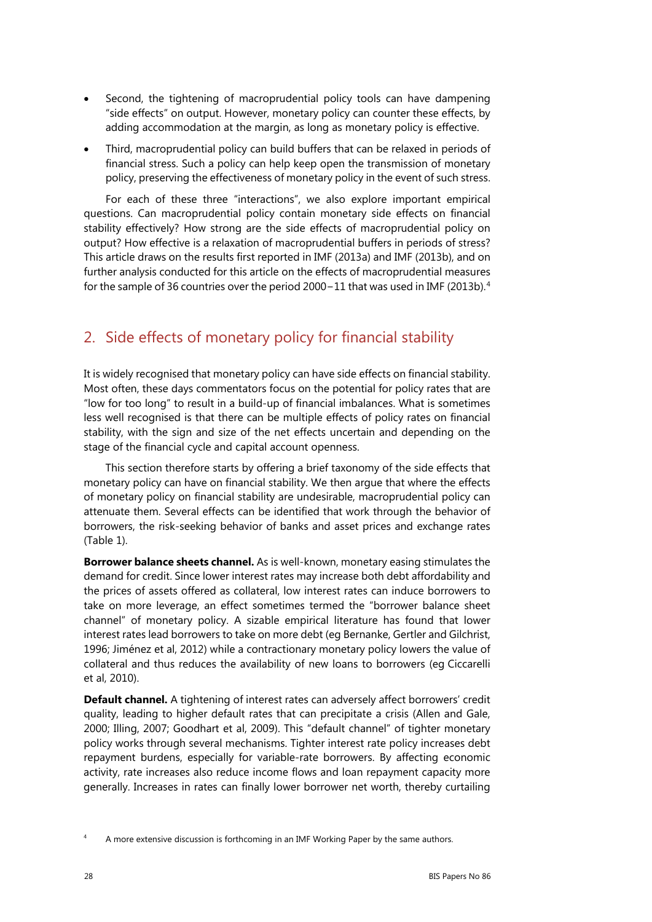- Second, the tightening of macroprudential policy tools can have dampening "side effects" on output. However, monetary policy can counter these effects, by adding accommodation at the margin, as long as monetary policy is effective.
- Third, macroprudential policy can build buffers that can be relaxed in periods of financial stress. Such a policy can help keep open the transmission of monetary policy, preserving the effectiveness of monetary policy in the event of such stress.

For each of these three "interactions", we also explore important empirical questions. Can macroprudential policy contain monetary side effects on financial stability effectively? How strong are the side effects of macroprudential policy on output? How effective is a relaxation of macroprudential buffers in periods of stress? This article draws on the results first reported in IMF (2013a) and IMF (2013b), and on further analysis conducted for this article on the effects of macroprudential measures for the sample of 36 countries over the period 2000−11 that was used in IMF (2013b).[4](#page-1-0)

## 2. Side effects of monetary policy for financial stability

It is widely recognised that monetary policy can have side effects on financial stability. Most often, these days commentators focus on the potential for policy rates that are "low for too long" to result in a build-up of financial imbalances. What is sometimes less well recognised is that there can be multiple effects of policy rates on financial stability, with the sign and size of the net effects uncertain and depending on the stage of the financial cycle and capital account openness.

This section therefore starts by offering a brief taxonomy of the side effects that monetary policy can have on financial stability. We then argue that where the effects of monetary policy on financial stability are undesirable, macroprudential policy can attenuate them. Several effects can be identified that work through the behavior of borrowers, the risk-seeking behavior of banks and asset prices and exchange rates (Table 1).

**Borrower balance sheets channel.** As is well-known, monetary easing stimulates the demand for credit. Since lower interest rates may increase both debt affordability and the prices of assets offered as collateral, low interest rates can induce borrowers to take on more leverage, an effect sometimes termed the "borrower balance sheet channel" of monetary policy. A sizable empirical literature has found that lower interest rates lead borrowers to take on more debt (eg Bernanke, Gertler and Gilchrist, 1996; Jiménez et al, 2012) while a contractionary monetary policy lowers the value of collateral and thus reduces the availability of new loans to borrowers (eg Ciccarelli et al, 2010).

**Default channel.** A tightening of interest rates can adversely affect borrowers' credit quality, leading to higher default rates that can precipitate a crisis (Allen and Gale, 2000; Illing, 2007; Goodhart et al, 2009). This "default channel" of tighter monetary policy works through several mechanisms. Tighter interest rate policy increases debt repayment burdens, especially for variable-rate borrowers. By affecting economic activity, rate increases also reduce income flows and loan repayment capacity more generally. Increases in rates can finally lower borrower net worth, thereby curtailing

<span id="page-1-0"></span><sup>4</sup> A more extensive discussion is forthcoming in an IMF Working Paper by the same authors.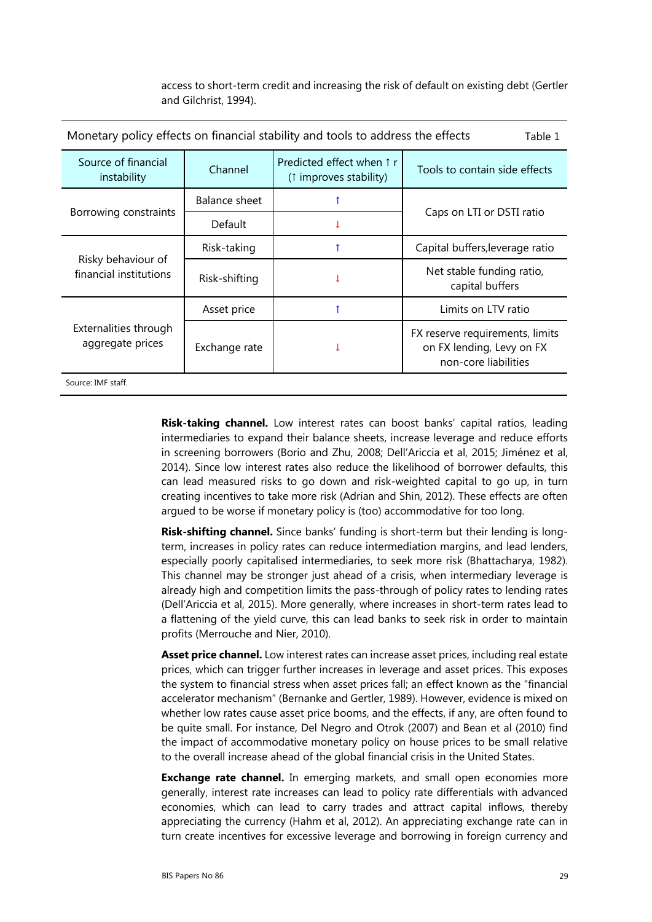access to short-term credit and increasing the risk of default on existing debt (Gertler and Gilchrist, 1994).

| Monetary policy effects on financial stability and tools to address the effects<br>Table 1 |               |                                                     |                                                                                      |
|--------------------------------------------------------------------------------------------|---------------|-----------------------------------------------------|--------------------------------------------------------------------------------------|
| Source of financial<br>instability                                                         | Channel       | Predicted effect when 1 r<br>(1 improves stability) | Tools to contain side effects                                                        |
| Borrowing constraints                                                                      | Balance sheet |                                                     | Caps on LTI or DSTI ratio                                                            |
|                                                                                            | Default       |                                                     |                                                                                      |
| Risky behaviour of<br>financial institutions                                               | Risk-taking   |                                                     | Capital buffers, leverage ratio                                                      |
|                                                                                            | Risk-shifting |                                                     | Net stable funding ratio,<br>capital buffers                                         |
| Externalities through<br>aggregate prices                                                  | Asset price   |                                                     | Limits on LTV ratio                                                                  |
|                                                                                            | Exchange rate |                                                     | FX reserve requirements, limits<br>on FX lending, Levy on FX<br>non-core liabilities |
| Source: IMF staff.                                                                         |               |                                                     |                                                                                      |

**Risk-taking channel.** Low interest rates can boost banks' capital ratios, leading intermediaries to expand their balance sheets, increase leverage and reduce efforts in screening borrowers (Borio and Zhu, 2008; Dell'Ariccia et al, 2015; Jiménez et al, 2014). Since low interest rates also reduce the likelihood of borrower defaults, this can lead measured risks to go down and risk-weighted capital to go up, in turn creating incentives to take more risk (Adrian and Shin, 2012). These effects are often argued to be worse if monetary policy is (too) accommodative for too long.

**Risk-shifting channel.** Since banks' funding is short-term but their lending is longterm, increases in policy rates can reduce intermediation margins, and lead lenders, especially poorly capitalised intermediaries, to seek more risk (Bhattacharya, 1982). This channel may be stronger just ahead of a crisis, when intermediary leverage is already high and competition limits the pass-through of policy rates to lending rates (Dell'Ariccia et al, 2015). More generally, where increases in short-term rates lead to a flattening of the yield curve, this can lead banks to seek risk in order to maintain profits (Merrouche and Nier, 2010).

**Asset price channel.** Low interest rates can increase asset prices, including real estate prices, which can trigger further increases in leverage and asset prices. This exposes the system to financial stress when asset prices fall; an effect known as the "financial accelerator mechanism" (Bernanke and Gertler, 1989). However, evidence is mixed on whether low rates cause asset price booms, and the effects, if any, are often found to be quite small. For instance, Del Negro and Otrok (2007) and Bean et al (2010) find the impact of accommodative monetary policy on house prices to be small relative to the overall increase ahead of the global financial crisis in the United States.

**Exchange rate channel.** In emerging markets, and small open economies more generally, interest rate increases can lead to policy rate differentials with advanced economies, which can lead to carry trades and attract capital inflows, thereby appreciating the currency (Hahm et al, 2012). An appreciating exchange rate can in turn create incentives for excessive leverage and borrowing in foreign currency and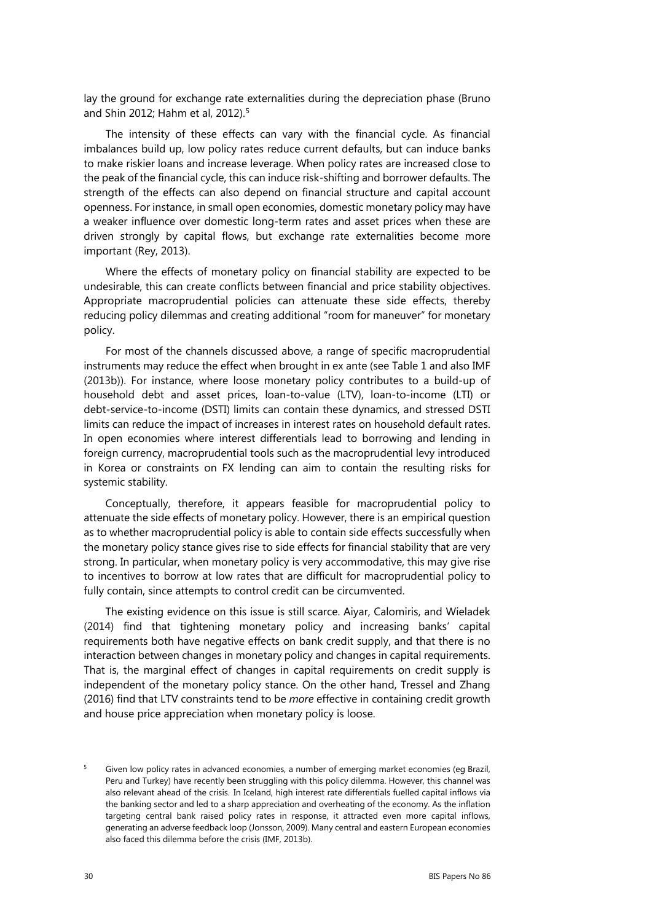lay the ground for exchange rate externalities during the depreciation phase (Bruno and Shin 2012; Hahm et al, 2012).<sup>[5](#page-3-0)</sup>

The intensity of these effects can vary with the financial cycle. As financial imbalances build up, low policy rates reduce current defaults, but can induce banks to make riskier loans and increase leverage. When policy rates are increased close to the peak of the financial cycle, this can induce risk-shifting and borrower defaults. The strength of the effects can also depend on financial structure and capital account openness. For instance, in small open economies, domestic monetary policy may have a weaker influence over domestic long-term rates and asset prices when these are driven strongly by capital flows, but exchange rate externalities become more important (Rey, 2013).

Where the effects of monetary policy on financial stability are expected to be undesirable, this can create conflicts between financial and price stability objectives. Appropriate macroprudential policies can attenuate these side effects, thereby reducing policy dilemmas and creating additional "room for maneuver" for monetary policy.

For most of the channels discussed above, a range of specific macroprudential instruments may reduce the effect when brought in ex ante (see Table 1 and also IMF (2013b)). For instance, where loose monetary policy contributes to a build-up of household debt and asset prices, loan-to-value (LTV), loan-to-income (LTI) or debt-service-to-income (DSTI) limits can contain these dynamics, and stressed DSTI limits can reduce the impact of increases in interest rates on household default rates. In open economies where interest differentials lead to borrowing and lending in foreign currency, macroprudential tools such as the macroprudential levy introduced in Korea or constraints on FX lending can aim to contain the resulting risks for systemic stability.

Conceptually, therefore, it appears feasible for macroprudential policy to attenuate the side effects of monetary policy. However, there is an empirical question as to whether macroprudential policy is able to contain side effects successfully when the monetary policy stance gives rise to side effects for financial stability that are very strong. In particular, when monetary policy is very accommodative, this may give rise to incentives to borrow at low rates that are difficult for macroprudential policy to fully contain, since attempts to control credit can be circumvented.

The existing evidence on this issue is still scarce. Aiyar, Calomiris, and Wieladek (2014) find that tightening monetary policy and increasing banks' capital requirements both have negative effects on bank credit supply, and that there is no interaction between changes in monetary policy and changes in capital requirements. That is, the marginal effect of changes in capital requirements on credit supply is independent of the monetary policy stance. On the other hand, Tressel and Zhang (2016) find that LTV constraints tend to be *more* effective in containing credit growth and house price appreciation when monetary policy is loose.

<span id="page-3-0"></span><sup>5</sup> Given low policy rates in advanced economies, a number of emerging market economies (eg Brazil, Peru and Turkey) have recently been struggling with this policy dilemma. However, this channel was also relevant ahead of the crisis. In Iceland, high interest rate differentials fuelled capital inflows via the banking sector and led to a sharp appreciation and overheating of the economy. As the inflation targeting central bank raised policy rates in response, it attracted even more capital inflows, generating an adverse feedback loop (Jonsson, 2009). Many central and eastern European economies also faced this dilemma before the crisis (IMF, 2013b).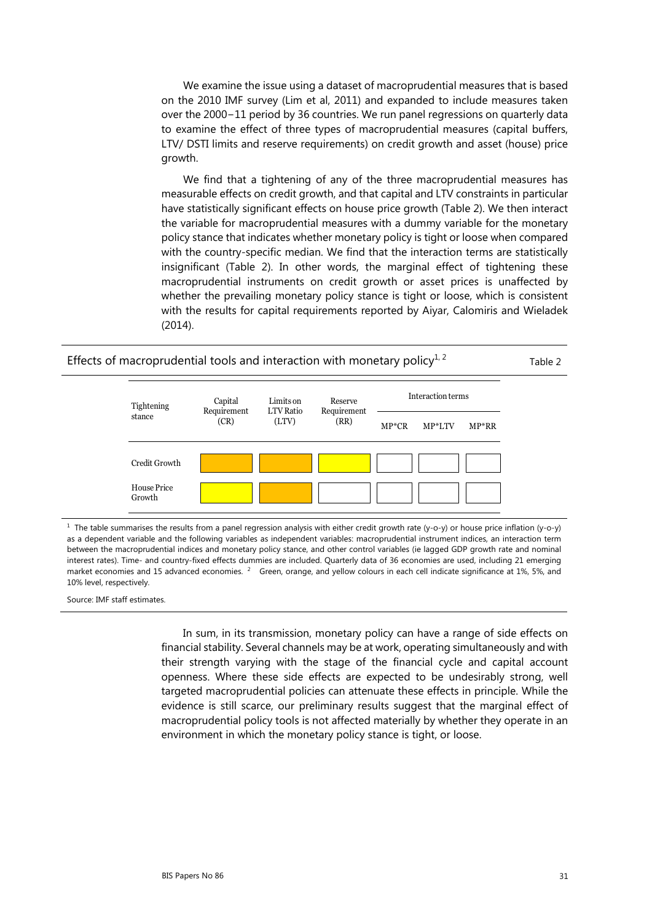We examine the issue using a dataset of macroprudential measures that is based on the 2010 IMF survey (Lim et al, 2011) and expanded to include measures taken over the 2000−11 period by 36 countries. We run panel regressions on quarterly data to examine the effect of three types of macroprudential measures (capital buffers, LTV/ DSTI limits and reserve requirements) on credit growth and asset (house) price growth.

We find that a tightening of any of the three macroprudential measures has measurable effects on credit growth, and that capital and LTV constraints in particular have statistically significant effects on house price growth (Table 2). We then interact the variable for macroprudential measures with a dummy variable for the monetary policy stance that indicates whether monetary policy is tight or loose when compared with the country-specific median. We find that the interaction terms are statistically insignificant (Table 2). In other words, the marginal effect of tightening these macroprudential instruments on credit growth or asset prices is unaffected by whether the prevailing monetary policy stance is tight or loose, which is consistent with the results for capital requirements reported by Aiyar, Calomiris and Wieladek (2014).



<sup>1</sup> The table summarises the results from a panel regression analysis with either credit growth rate (y-o-y) or house price inflation (y-o-y) as a dependent variable and the following variables as independent variables: macroprudential instrument indices, an interaction term between the macroprudential indices and monetary policy stance, and other control variables (ie lagged GDP growth rate and nominal interest rates). Time- and country-fixed effects dummies are included. Quarterly data of 36 economies are used, including 21 emerging market economies and 15 advanced economies. <sup>2</sup> Green, orange, and yellow colours in each cell indicate significance at 1%, 5%, and 10% level, respectively.

Source: IMF staff estimates.

In sum, in its transmission, monetary policy can have a range of side effects on financial stability. Several channels may be at work, operating simultaneously and with their strength varying with the stage of the financial cycle and capital account openness. Where these side effects are expected to be undesirably strong, well targeted macroprudential policies can attenuate these effects in principle. While the evidence is still scarce, our preliminary results suggest that the marginal effect of macroprudential policy tools is not affected materially by whether they operate in an environment in which the monetary policy stance is tight, or loose.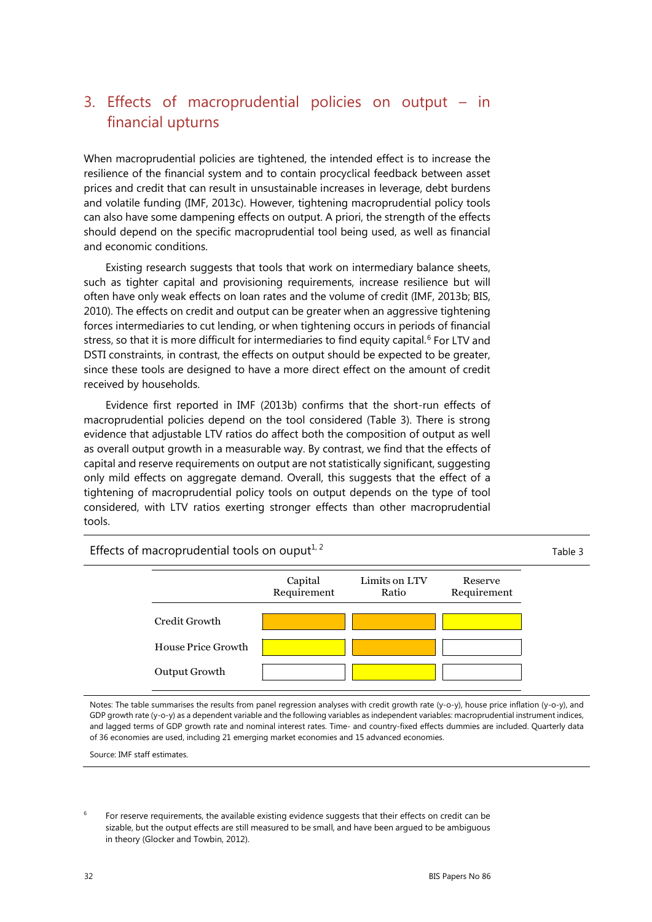# 3. Effects of macroprudential policies on output – in financial upturns

When macroprudential policies are tightened, the intended effect is to increase the resilience of the financial system and to contain procyclical feedback between asset prices and credit that can result in unsustainable increases in leverage, debt burdens and volatile funding (IMF, 2013c). However, tightening macroprudential policy tools can also have some dampening effects on output. A priori, the strength of the effects should depend on the specific macroprudential tool being used, as well as financial and economic conditions.

Existing research suggests that tools that work on intermediary balance sheets, such as tighter capital and provisioning requirements, increase resilience but will often have only weak effects on loan rates and the volume of credit (IMF, 2013b; BIS, 2010). The effects on credit and output can be greater when an aggressive tightening forces intermediaries to cut lending, or when tightening occurs in periods of financial stress, so that it is more difficult for intermediaries to find equity capital.<sup>[6](#page-5-0)</sup> For LTV and DSTI constraints, in contrast, the effects on output should be expected to be greater, since these tools are designed to have a more direct effect on the amount of credit received by households.

Evidence first reported in IMF (2013b) confirms that the short-run effects of macroprudential policies depend on the tool considered (Table 3). There is strong evidence that adjustable LTV ratios do affect both the composition of output as well as overall output growth in a measurable way. By contrast, we find that the effects of capital and reserve requirements on output are not statistically significant, suggesting only mild effects on aggregate demand. Overall, this suggests that the effect of a tightening of macroprudential policy tools on output depends on the type of tool considered, with LTV ratios exerting stronger effects than other macroprudential tools.

Effects of macroprudential tools on ouput<sup> $1, 2$ </sup> Table 3



Notes: The table summarises the results from panel regression analyses with credit growth rate (y-o-y), house price inflation (y-o-y), and GDP growth rate (y-o-y) as a dependent variable and the following variables as independent variables: macroprudential instrument indices, and lagged terms of GDP growth rate and nominal interest rates. Time- and country-fixed effects dummies are included. Quarterly data of 36 economies are used, including 21 emerging market economies and 15 advanced economies.

Source: IMF staff estimates.

<span id="page-5-0"></span> $6$  For reserve requirements, the available existing evidence suggests that their effects on credit can be sizable, but the output effects are still measured to be small, and have been argued to be ambiguous in theory (Glocker and Towbin, 2012).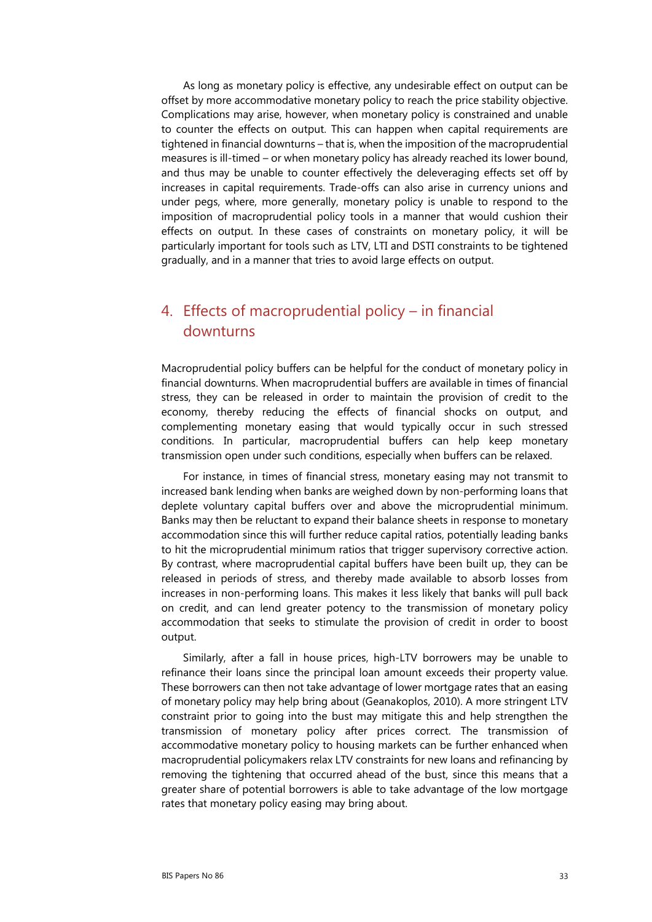As long as monetary policy is effective, any undesirable effect on output can be offset by more accommodative monetary policy to reach the price stability objective. Complications may arise, however, when monetary policy is constrained and unable to counter the effects on output. This can happen when capital requirements are tightened in financial downturns – that is, when the imposition of the macroprudential measures is ill-timed – or when monetary policy has already reached its lower bound, and thus may be unable to counter effectively the deleveraging effects set off by increases in capital requirements. Trade-offs can also arise in currency unions and under pegs, where, more generally, monetary policy is unable to respond to the imposition of macroprudential policy tools in a manner that would cushion their effects on output. In these cases of constraints on monetary policy, it will be particularly important for tools such as LTV, LTI and DSTI constraints to be tightened gradually, and in a manner that tries to avoid large effects on output.

### 4. Effects of macroprudential policy – in financial downturns

Macroprudential policy buffers can be helpful for the conduct of monetary policy in financial downturns. When macroprudential buffers are available in times of financial stress, they can be released in order to maintain the provision of credit to the economy, thereby reducing the effects of financial shocks on output, and complementing monetary easing that would typically occur in such stressed conditions. In particular, macroprudential buffers can help keep monetary transmission open under such conditions, especially when buffers can be relaxed.

For instance, in times of financial stress, monetary easing may not transmit to increased bank lending when banks are weighed down by non-performing loans that deplete voluntary capital buffers over and above the microprudential minimum. Banks may then be reluctant to expand their balance sheets in response to monetary accommodation since this will further reduce capital ratios, potentially leading banks to hit the microprudential minimum ratios that trigger supervisory corrective action. By contrast, where macroprudential capital buffers have been built up, they can be released in periods of stress, and thereby made available to absorb losses from increases in non-performing loans. This makes it less likely that banks will pull back on credit, and can lend greater potency to the transmission of monetary policy accommodation that seeks to stimulate the provision of credit in order to boost output.

Similarly, after a fall in house prices, high-LTV borrowers may be unable to refinance their loans since the principal loan amount exceeds their property value. These borrowers can then not take advantage of lower mortgage rates that an easing of monetary policy may help bring about (Geanakoplos, 2010). A more stringent LTV constraint prior to going into the bust may mitigate this and help strengthen the transmission of monetary policy after prices correct. The transmission of accommodative monetary policy to housing markets can be further enhanced when macroprudential policymakers relax LTV constraints for new loans and refinancing by removing the tightening that occurred ahead of the bust, since this means that a greater share of potential borrowers is able to take advantage of the low mortgage rates that monetary policy easing may bring about.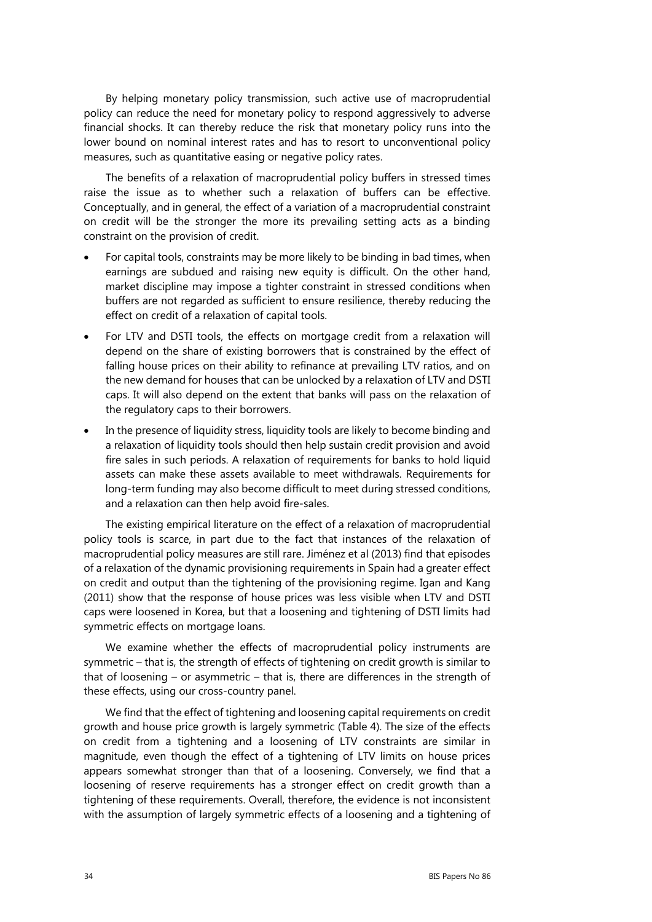By helping monetary policy transmission, such active use of macroprudential policy can reduce the need for monetary policy to respond aggressively to adverse financial shocks. It can thereby reduce the risk that monetary policy runs into the lower bound on nominal interest rates and has to resort to unconventional policy measures, such as quantitative easing or negative policy rates.

The benefits of a relaxation of macroprudential policy buffers in stressed times raise the issue as to whether such a relaxation of buffers can be effective. Conceptually, and in general, the effect of a variation of a macroprudential constraint on credit will be the stronger the more its prevailing setting acts as a binding constraint on the provision of credit.

- For capital tools, constraints may be more likely to be binding in bad times, when earnings are subdued and raising new equity is difficult. On the other hand, market discipline may impose a tighter constraint in stressed conditions when buffers are not regarded as sufficient to ensure resilience, thereby reducing the effect on credit of a relaxation of capital tools.
- For LTV and DSTI tools, the effects on mortgage credit from a relaxation will depend on the share of existing borrowers that is constrained by the effect of falling house prices on their ability to refinance at prevailing LTV ratios, and on the new demand for houses that can be unlocked by a relaxation of LTV and DSTI caps. It will also depend on the extent that banks will pass on the relaxation of the regulatory caps to their borrowers.
- In the presence of liquidity stress, liquidity tools are likely to become binding and a relaxation of liquidity tools should then help sustain credit provision and avoid fire sales in such periods. A relaxation of requirements for banks to hold liquid assets can make these assets available to meet withdrawals. Requirements for long-term funding may also become difficult to meet during stressed conditions, and a relaxation can then help avoid fire-sales.

The existing empirical literature on the effect of a relaxation of macroprudential policy tools is scarce, in part due to the fact that instances of the relaxation of macroprudential policy measures are still rare. Jiménez et al (2013) find that episodes of a relaxation of the dynamic provisioning requirements in Spain had a greater effect on credit and output than the tightening of the provisioning regime. Igan and Kang (2011) show that the response of house prices was less visible when LTV and DSTI caps were loosened in Korea, but that a loosening and tightening of DSTI limits had symmetric effects on mortgage loans.

We examine whether the effects of macroprudential policy instruments are symmetric – that is, the strength of effects of tightening on credit growth is similar to that of loosening – or asymmetric – that is, there are differences in the strength of these effects, using our cross-country panel.

We find that the effect of tightening and loosening capital requirements on credit growth and house price growth is largely symmetric (Table 4). The size of the effects on credit from a tightening and a loosening of LTV constraints are similar in magnitude, even though the effect of a tightening of LTV limits on house prices appears somewhat stronger than that of a loosening. Conversely, we find that a loosening of reserve requirements has a stronger effect on credit growth than a tightening of these requirements. Overall, therefore, the evidence is not inconsistent with the assumption of largely symmetric effects of a loosening and a tightening of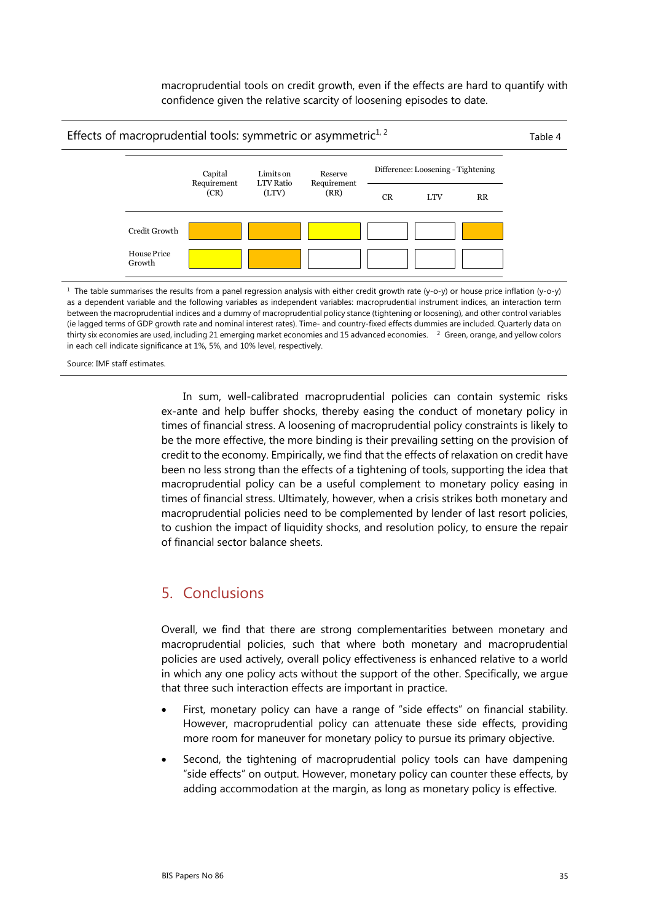macroprudential tools on credit growth, even if the effects are hard to quantify with confidence given the relative scarcity of loosening episodes to date.



between the macroprudential indices and a dummy of macroprudential policy stance (tightening or loosening), and other control variables (ie lagged terms of GDP growth rate and nominal interest rates). Time- and country-fixed effects dummies are included. Quarterly data on thirty six economies are used, including 21 emerging market economies and 15 advanced economies. <sup>2</sup> Green, orange, and yellow colors in each cell indicate significance at 1%, 5%, and 10% level, respectively.

Source: IMF staff estimates.

In sum, well-calibrated macroprudential policies can contain systemic risks ex-ante and help buffer shocks, thereby easing the conduct of monetary policy in times of financial stress. A loosening of macroprudential policy constraints is likely to be the more effective, the more binding is their prevailing setting on the provision of credit to the economy. Empirically, we find that the effects of relaxation on credit have been no less strong than the effects of a tightening of tools, supporting the idea that macroprudential policy can be a useful complement to monetary policy easing in times of financial stress. Ultimately, however, when a crisis strikes both monetary and macroprudential policies need to be complemented by lender of last resort policies, to cushion the impact of liquidity shocks, and resolution policy, to ensure the repair of financial sector balance sheets.

### 5. Conclusions

Overall, we find that there are strong complementarities between monetary and macroprudential policies, such that where both monetary and macroprudential policies are used actively, overall policy effectiveness is enhanced relative to a world in which any one policy acts without the support of the other. Specifically, we argue that three such interaction effects are important in practice.

- First, monetary policy can have a range of "side effects" on financial stability. However, macroprudential policy can attenuate these side effects, providing more room for maneuver for monetary policy to pursue its primary objective.
- Second, the tightening of macroprudential policy tools can have dampening "side effects" on output. However, monetary policy can counter these effects, by adding accommodation at the margin, as long as monetary policy is effective.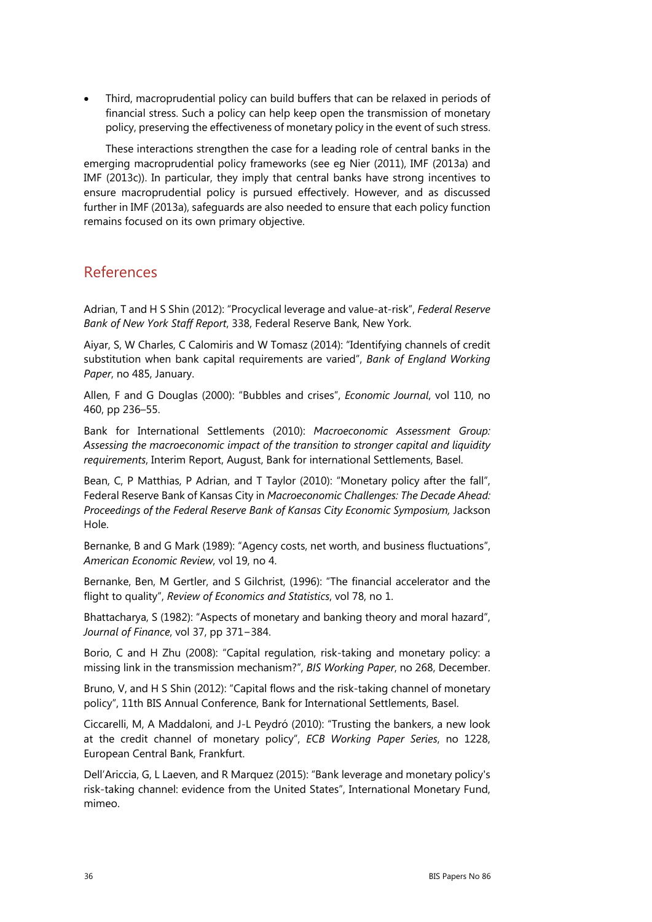• Third, macroprudential policy can build buffers that can be relaxed in periods of financial stress. Such a policy can help keep open the transmission of monetary policy, preserving the effectiveness of monetary policy in the event of such stress.

These interactions strengthen the case for a leading role of central banks in the emerging macroprudential policy frameworks (see eg Nier (2011), IMF (2013a) and IMF (2013c)). In particular, they imply that central banks have strong incentives to ensure macroprudential policy is pursued effectively. However, and as discussed further in IMF (2013a), safeguards are also needed to ensure that each policy function remains focused on its own primary objective.

### References

Adrian, T and H S Shin (2012): "Procyclical leverage and value-at-risk", *Federal Reserve Bank of New York Staff Report*, 338, Federal Reserve Bank, New York.

Aiyar, S, W Charles, C Calomiris and W Tomasz (2014): "Identifying channels of credit substitution when bank capital requirements are varied", *Bank of England Working Paper*, no 485, January.

Allen, F and G Douglas (2000): "Bubbles and crises", *Economic Journal*, vol 110, no 460, pp 236–55.

Bank for International Settlements (2010): *Macroeconomic Assessment Group: Assessing the macroeconomic impact of the transition to stronger capital and liquidity requirements*, Interim Report, August, Bank for international Settlements, Basel.

Bean, C, P Matthias, P Adrian, and T Taylor (2010): "Monetary policy after the fall", Federal Reserve Bank of Kansas City in *Macroeconomic Challenges: The Decade Ahead: Proceedings of the Federal Reserve Bank of Kansas City Economic Symposium,* Jackson Hole.

Bernanke, B and G Mark (1989): "Agency costs, net worth, and business fluctuations", *American Economic Review*, vol 19, no 4.

Bernanke, Ben, M Gertler, and S Gilchrist, (1996): "The financial accelerator and the flight to quality", *Review of Economics and Statistics*, vol 78, no 1.

Bhattacharya, S (1982): "Aspects of monetary and banking theory and moral hazard", *Journal of Finance*, vol 37, pp 371−384.

Borio, C and H Zhu (2008): "Capital regulation, risk-taking and monetary policy: a missing link in the transmission mechanism?", *BIS Working Paper*, no 268, December.

Bruno, V, and H S Shin (2012): "Capital flows and the risk-taking channel of monetary policy", 11th BIS Annual Conference, Bank for International Settlements, Basel.

Ciccarelli, M, A Maddaloni, and J-L Peydró (2010): "Trusting the bankers, a new look at the credit channel of monetary policy", *ECB Working Paper Series*, no 1228, European Central Bank, Frankfurt.

Dell'Ariccia, G, L Laeven, and R Marquez (2015): "Bank leverage and monetary policy's risk-taking channel: evidence from the United States", International Monetary Fund, mimeo.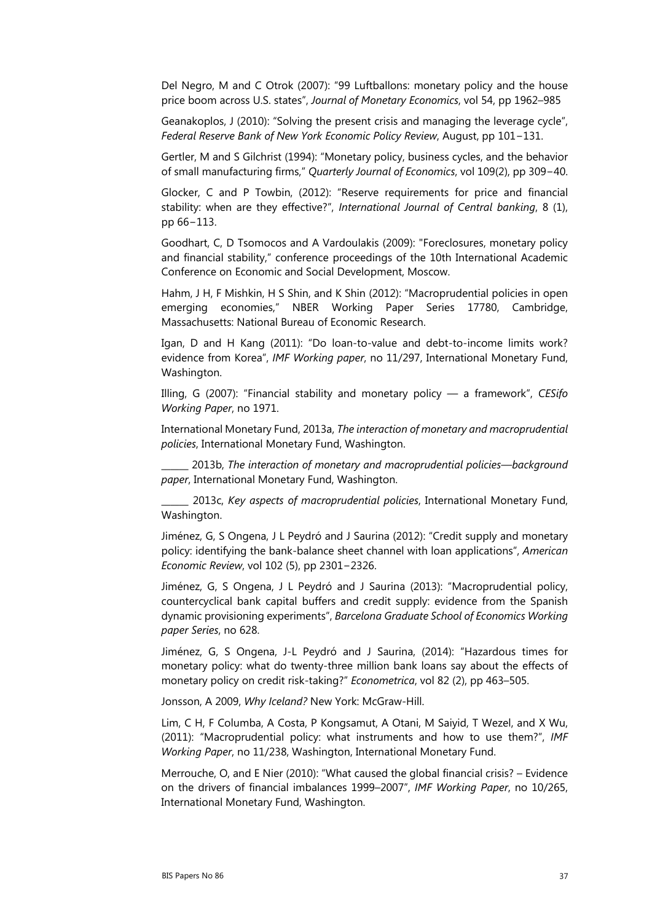Del Negro, M and C Otrok (2007): "99 Luftballons: monetary policy and the house price boom across U.S. states", *Journal of Monetary Economics*, vol 54, pp 1962–985

Geanakoplos, J (2010): "Solving the present crisis and managing the leverage cycle", *Federal Reserve Bank of New York Economic Policy Review*, August, pp 101−131.

Gertler, M and S Gilchrist (1994): "Monetary policy, business cycles, and the behavior of small manufacturing firms," *Quarterly Journal of Economics*, vol 109(2), pp 309−40.

Glocker, C and P Towbin, (2012): "Reserve requirements for price and financial stability: when are they effective?", *International Journal of Central banking*, 8 (1), pp 66−113.

Goodhart, C, D Tsomocos and A Vardoulakis (2009): "Foreclosures, monetary policy and financial stability," conference proceedings of the 10th International Academic Conference on Economic and Social Development, Moscow.

Hahm, J H, F Mishkin, H S Shin, and K Shin (2012): "Macroprudential policies in open emerging economies," NBER Working Paper Series 17780, Cambridge, Massachusetts: National Bureau of Economic Research.

Igan, D and H Kang (2011): "Do loan-to-value and debt-to-income limits work? evidence from Korea", *IMF Working paper*, no 11/297, International Monetary Fund, Washington.

Illing, G (2007): "Financial stability and monetary policy ― a framework", *CESifo Working Paper*, no 1971.

International Monetary Fund, 2013a, *The interaction of monetary and macroprudential policies*, International Monetary Fund, Washington.

\_\_\_\_\_\_ 2013b, *The interaction of monetary and macroprudential policies—background paper*, International Monetary Fund, Washington.

\_\_\_\_\_\_ 2013c, *Key aspects of macroprudential policies*, International Monetary Fund, Washington.

Jiménez, G, S Ongena, J L Peydró and J Saurina (2012): "Credit supply and monetary policy: identifying the bank-balance sheet channel with loan applications", *American Economic Review*, vol 102 (5), pp 2301−2326.

Jiménez, G, S Ongena, J L Peydró and J Saurina (2013): "Macroprudential policy, countercyclical bank capital buffers and credit supply: evidence from the Spanish dynamic provisioning experiments", *Barcelona Graduate School of Economics Working paper Series*, no 628.

Jiménez, G, S Ongena, J-L Peydró and J Saurina, (2014): "Hazardous times for monetary policy: what do twenty-three million bank loans say about the effects of monetary policy on credit risk-taking?" *Econometrica*, vol 82 (2), pp 463–505.

Jonsson, A 2009, *Why Iceland?* New York: McGraw-Hill.

Lim, C H, F Columba, A Costa, P Kongsamut, A Otani, M Saiyid, T Wezel, and X Wu, (2011): "Macroprudential policy: what instruments and how to use them?", *IMF Working Paper*, no 11/238, Washington, International Monetary Fund.

Merrouche, O, and E Nier (2010): "What caused the global financial crisis? – Evidence on the drivers of financial imbalances 1999–2007", *IMF Working Paper*, no 10/265, International Monetary Fund, Washington.